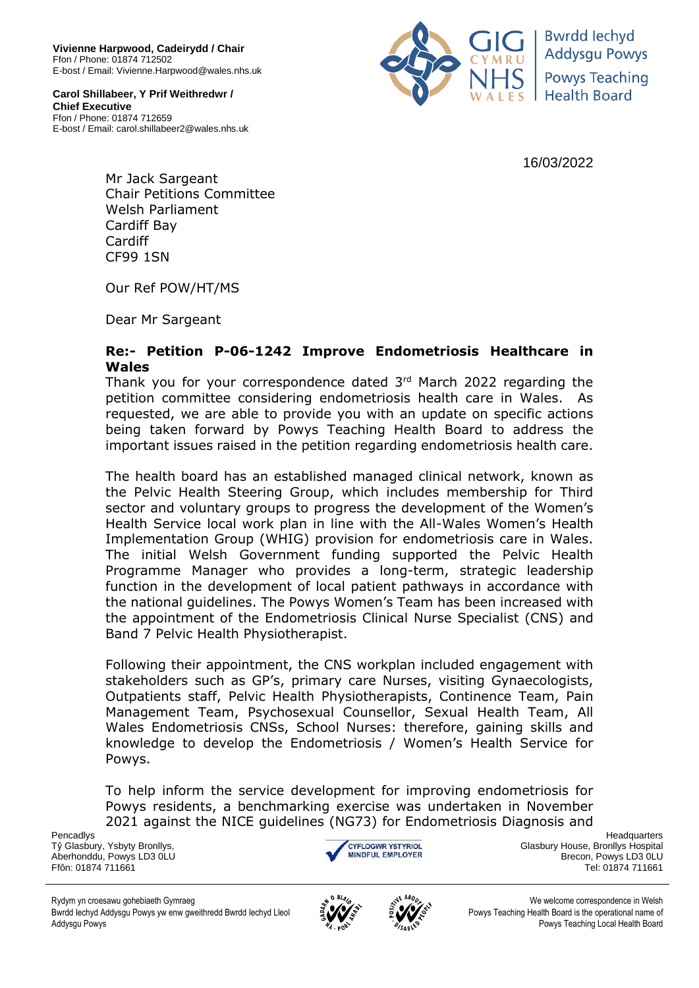**Vivienne Harpwood, Cadeirydd / Chair** Ffon / Phone: 01874 712502 E-bost / Email: Vivienne.Harpwood@wales.nhs.uk

**Carol Shillabeer, Y Prif Weithredwr / Chief Executive** Ffon / Phone: 01874 712659 E-bost / Email: carol.shillabeer2@wales.nhs.uk



16/03/2022

Mr Jack Sargeant Chair Petitions Committee Welsh Parliament Cardiff Bay Cardiff CF99 1SN

Our Ref POW/HT/MS

Dear Mr Sargeant

## **Re:- Petition P-06-1242 Improve Endometriosis Healthcare in Wales**

Thank you for your correspondence dated 3rd March 2022 regarding the petition committee considering endometriosis health care in Wales. As requested, we are able to provide you with an update on specific actions being taken forward by Powys Teaching Health Board to address the important issues raised in the petition regarding endometriosis health care.

The health board has an established managed clinical network, known as the Pelvic Health Steering Group, which includes membership for Third sector and voluntary groups to progress the development of the Women's Health Service local work plan in line with the All-Wales Women's Health Implementation Group (WHIG) provision for endometriosis care in Wales. The initial Welsh Government funding supported the Pelvic Health Programme Manager who provides a long-term, strategic leadership function in the development of local patient pathways in accordance with the national guidelines. The Powys Women's Team has been increased with the appointment of the Endometriosis Clinical Nurse Specialist (CNS) and Band 7 Pelvic Health Physiotherapist.

Following their appointment, the CNS workplan included engagement with stakeholders such as GP's, primary care Nurses, visiting Gynaecologists, Outpatients staff, Pelvic Health Physiotherapists, Continence Team, Pain Management Team, Psychosexual Counsellor, Sexual Health Team, All Wales Endometriosis CNSs, School Nurses: therefore, gaining skills and knowledge to develop the Endometriosis / Women's Health Service for Powys.

To help inform the service development for improving endometriosis for Powys residents, a benchmarking exercise was undertaken in November 2021 against the NICE guidelines (NG73) for Endometriosis Diagnosis and

Tŷ Glasbury, Ysbyty Bronllys, Aberhonddu, Powys LD3 0LU



Pencadlys Headquarters Glasbury House, Bronllys Hospital Brecon, Powys LD3 0LU Ffôn: 01874 711661 Tel: 01874 711661

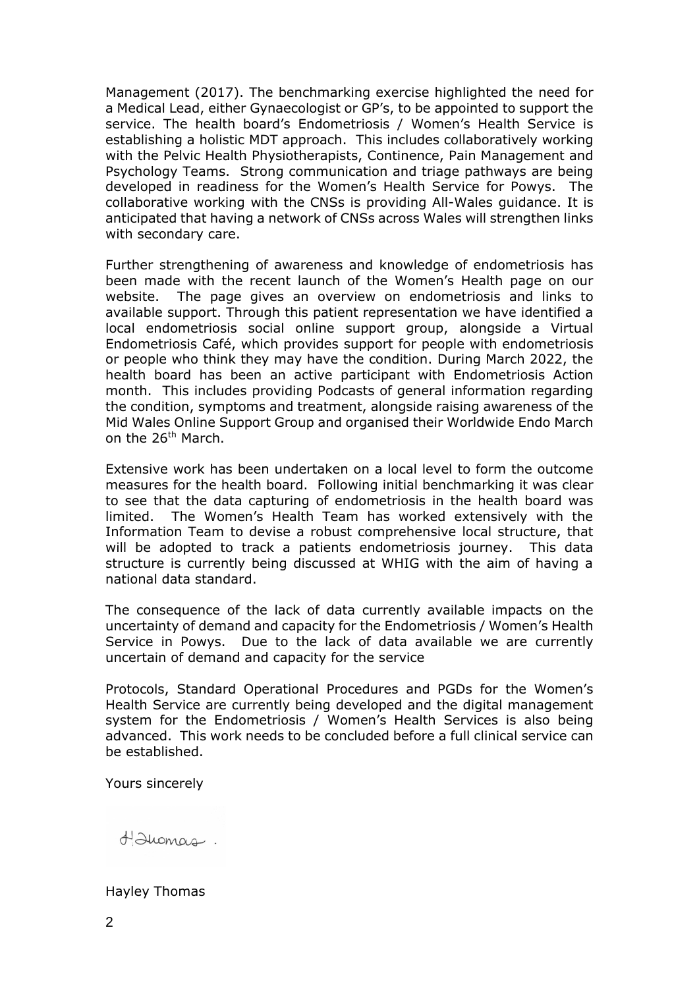Management (2017). The benchmarking exercise highlighted the need for a Medical Lead, either Gynaecologist or GP's, to be appointed to support the service. The health board's Endometriosis / Women's Health Service is establishing a holistic MDT approach. This includes collaboratively working with the Pelvic Health Physiotherapists, Continence, Pain Management and Psychology Teams. Strong communication and triage pathways are being developed in readiness for the Women's Health Service for Powys. The collaborative working with the CNSs is providing All-Wales guidance. It is anticipated that having a network of CNSs across Wales will strengthen links with secondary care.

Further strengthening of awareness and knowledge of endometriosis has been made with the recent launch of the Women's Health page on our website. The page gives an overview on endometriosis and links to available support. Through this patient representation we have identified a local endometriosis social online support group, alongside a Virtual Endometriosis Café, which provides support for people with endometriosis or people who think they may have the condition. During March 2022, the health board has been an active participant with Endometriosis Action month. This includes providing Podcasts of general information regarding the condition, symptoms and treatment, alongside raising awareness of the Mid Wales Online Support Group and organised their Worldwide Endo March on the 26th March.

Extensive work has been undertaken on a local level to form the outcome measures for the health board. Following initial benchmarking it was clear to see that the data capturing of endometriosis in the health board was limited. The Women's Health Team has worked extensively with the Information Team to devise a robust comprehensive local structure, that will be adopted to track a patients endometriosis journey. This data structure is currently being discussed at WHIG with the aim of having a national data standard.

The consequence of the lack of data currently available impacts on the uncertainty of demand and capacity for the Endometriosis / Women's Health Service in Powys. Due to the lack of data available we are currently uncertain of demand and capacity for the service

Protocols, Standard Operational Procedures and PGDs for the Women's Health Service are currently being developed and the digital management system for the Endometriosis / Women's Health Services is also being advanced. This work needs to be concluded before a full clinical service can be established.

Yours sincerely

Hahomas.

Hayley Thomas